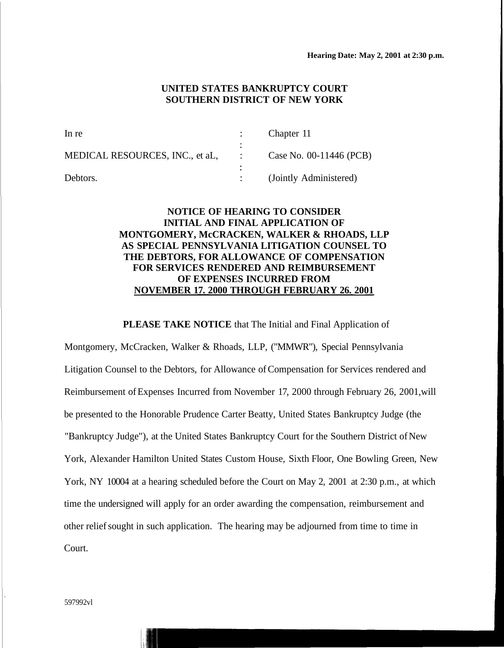### **UNITED STATES BANKRUPTCY COURT SOUTHERN DISTRICT OF NEW YORK**

| In re                           | Chapter 11              |
|---------------------------------|-------------------------|
|                                 |                         |
| MEDICAL RESOURCES, INC., et aL. | Case No. 00-11446 (PCB) |
|                                 |                         |
| Debtors.                        | (Jointly Administered)  |

# **NOTICE OF HEARING TO CONSIDER INITIAL AND FINAL APPLICATION OF MONTGOMERY, McCRACKEN, WALKER & RHOADS, LLP AS SPECIAL PENNSYLVANIA LITIGATION COUNSEL TO THE DEBTORS, FOR ALLOWANCE OF COMPENSATION FOR SERVICES RENDERED AND REIMBURSEMENT OF EXPENSES INCURRED FROM NOVEMBER 17. 2000 THROUGH FEBRUARY 26. 2001**

#### **PLEASE TAKE NOTICE** that The Initial and Final Application of

Montgomery, McCracken, Walker & Rhoads, LLP, ("MMWR"), Special Pennsylvania Litigation Counsel to the Debtors, for Allowance of Compensation for Services rendered and Reimbursement of Expenses Incurred from November 17, 2000 through February 26, 2001,will be presented to the Honorable Prudence Carter Beatty, United States Bankruptcy Judge (the "Bankruptcy Judge"), at the United States Bankruptcy Court for the Southern District of New York, Alexander Hamilton United States Custom House, Sixth Floor, One Bowling Green, New York, NY 10004 at a hearing scheduled before the Court on May 2, 2001 at 2:30 p.m., at which time the undersigned will apply for an order awarding the compensation, reimbursement and other relief sought in such application. The hearing may be adjourned from time to time in Court.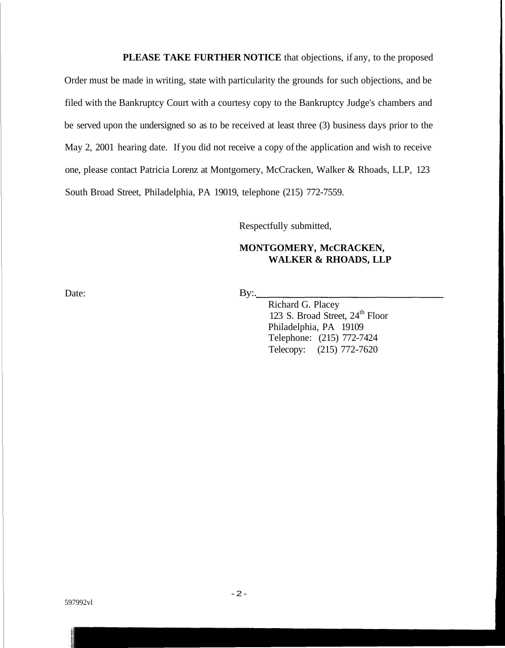**PLEASE TAKE FURTHER NOTICE** that objections, if any, to the proposed Order must be made in writing, state with particularity the grounds for such objections, and be filed with the Bankruptcy Court with a courtesy copy to the Bankruptcy Judge's chambers and be served upon the undersigned so as to be received at least three (3) business days prior to the May 2, 2001 hearing date. If you did not receive a copy of the application and wish to receive one, please contact Patricia Lorenz at Montgomery, McCracken, Walker & Rhoads, LLP, 123 South Broad Street, Philadelphia, PA 19019, telephone (215) 772-7559.

Respectfully submitted,

## **MONTGOMERY, McCRACKEN, WALKER & RHOADS, LLP**

Date: By:

Richard G. Placey 123 S. Broad Street, 24<sup>th</sup> Floor Philadelphia, PA 19109 Telephone: (215) 772-7424 Telecopy: (215) 772-7620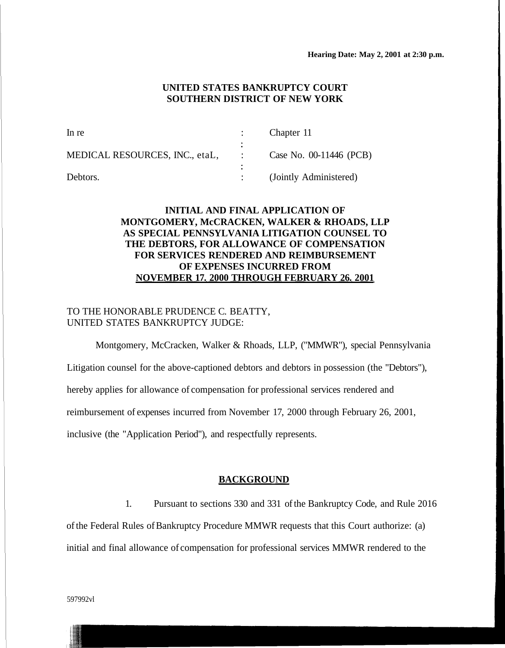## **UNITED STATES BANKRUPTCY COURT SOUTHERN DISTRICT OF NEW YORK**

| In re                          | Chapter 11              |
|--------------------------------|-------------------------|
| MEDICAL RESOURCES, INC., etaL, | Case No. 00-11446 (PCB) |
| Debtors.                       | (Jointly Administered)  |

# **INITIAL AND FINAL APPLICATION OF MONTGOMERY, McCRACKEN, WALKER & RHOADS, LLP AS SPECIAL PENNSYLVANIA LITIGATION COUNSEL TO THE DEBTORS, FOR ALLOWANCE OF COMPENSATION FOR SERVICES RENDERED AND REIMBURSEMENT OF EXPENSES INCURRED FROM NOVEMBER 17. 2000 THROUGH FEBRUARY 26. 2001**

## TO THE HONORABLE PRUDENCE C. BEATTY, UNITED STATES BANKRUPTCY JUDGE:

Montgomery, McCracken, Walker & Rhoads, LLP, ("MMWR"), special Pennsylvania Litigation counsel for the above-captioned debtors and debtors in possession (the "Debtors"), hereby applies for allowance of compensation for professional services rendered and reimbursement of expenses incurred from November 17, 2000 through February 26, 2001, inclusive (the "Application Period"), and respectfully represents.

#### **BACKGROUND**

1. Pursuant to sections 330 and 331 of the Bankruptcy Code, and Rule 2016 of the Federal Rules of Bankruptcy Procedure MMWR requests that this Court authorize: (a) initial and final allowance of compensation for professional services MMWR rendered to the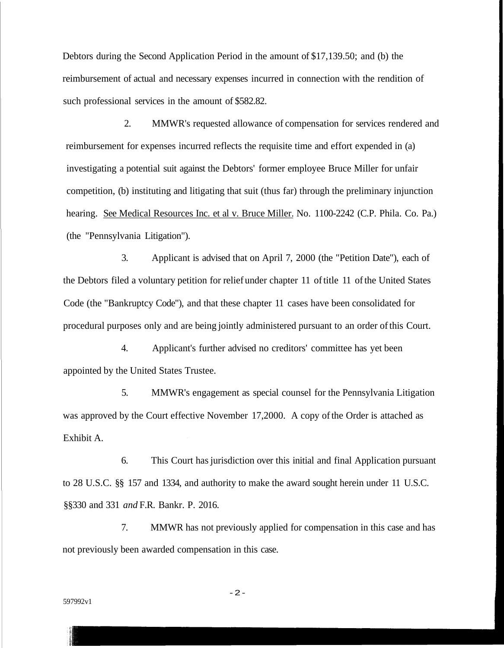Debtors during the Second Application Period in the amount of \$17,139.50; and (b) the reimbursement of actual and necessary expenses incurred in connection with the rendition of such professional services in the amount of \$582.82.

2. MMWR's requested allowance of compensation for services rendered and reimbursement for expenses incurred reflects the requisite time and effort expended in (a) investigating a potential suit against the Debtors' former employee Bruce Miller for unfair competition, (b) instituting and litigating that suit (thus far) through the preliminary injunction hearing. See Medical Resources Inc. et al v. Bruce Miller. No. 1100-2242 (C.P. Phila. Co. Pa.) (the "Pennsylvania Litigation").

3. Applicant is advised that on April 7, 2000 (the "Petition Date"), each of the Debtors filed a voluntary petition for relief under chapter 11 of title 11 of the United States Code (the "Bankruptcy Code"), and that these chapter 11 cases have been consolidated for procedural purposes only and are being jointly administered pursuant to an order of this Court.

4. Applicant's further advised no creditors' committee has yet been appointed by the United States Trustee.

5. MMWR's engagement as special counsel for the Pennsylvania Litigation was approved by the Court effective November 17,2000. A copy of the Order is attached as Exhibit A.

6. This Court has jurisdiction over this initial and final Application pursuant to 28 U.S.C. §§ 157 and 1334, and authority to make the award sought herein under 11 U.S.C. §§330 and 331 *and* F.R. Bankr. P. 2016.

7. MMWR has not previously applied for compensation in this case and has not previously been awarded compensation in this case.

597992v1

-2 -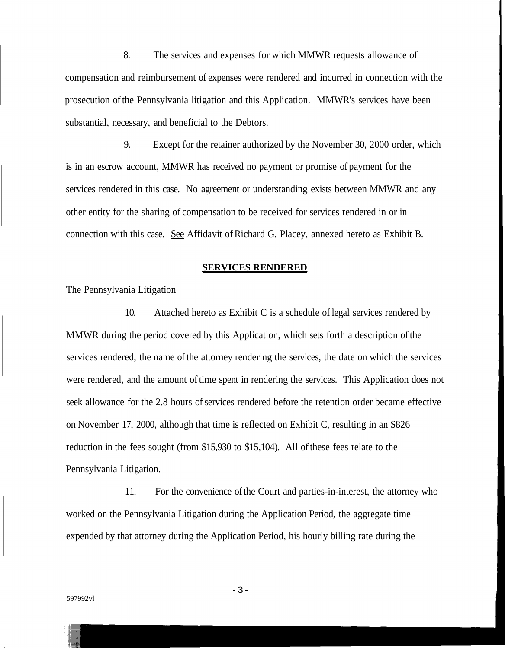8. The services and expenses for which MMWR requests allowance of compensation and reimbursement of expenses were rendered and incurred in connection with the prosecution of the Pennsylvania litigation and this Application. MMWR's services have been substantial, necessary, and beneficial to the Debtors.

9. Except for the retainer authorized by the November 30, 2000 order, which is in an escrow account, MMWR has received no payment or promise of payment for the services rendered in this case. No agreement or understanding exists between MMWR and any other entity for the sharing of compensation to be received for services rendered in or in connection with this case. See Affidavit of Richard G. Placey, annexed hereto as Exhibit B.

#### **SERVICES RENDERED**

The Pennsylvania Litigation

10. Attached hereto as Exhibit C is a schedule of legal services rendered by MMWR during the period covered by this Application, which sets forth a description of the services rendered, the name of the attorney rendering the services, the date on which the services were rendered, and the amount of time spent in rendering the services. This Application does not seek allowance for the 2.8 hours of services rendered before the retention order became effective on November 17, 2000, although that time is reflected on Exhibit C, resulting in an \$826 reduction in the fees sought (from \$15,930 to \$15,104). All of these fees relate to the Pennsylvania Litigation.

11. For the convenience of the Court and parties-in-interest, the attorney who worked on the Pennsylvania Litigation during the Application Period, the aggregate time expended by that attorney during the Application Period, his hourly billing rate during the

- 3 -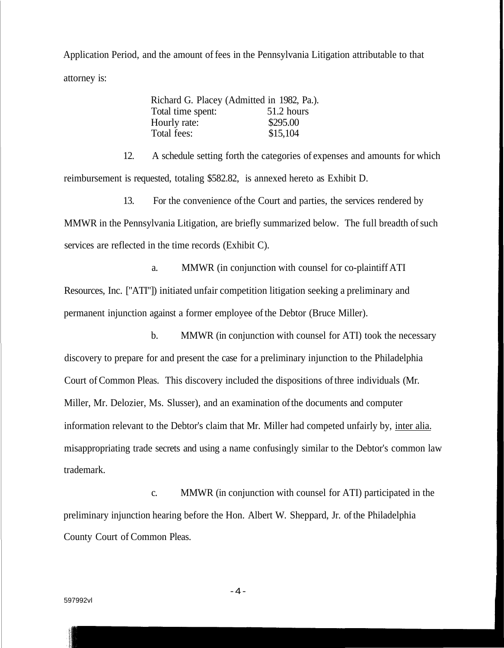Application Period, and the amount of fees in the Pennsylvania Litigation attributable to that attorney is:

|                   | Richard G. Placey (Admitted in 1982, Pa.). |
|-------------------|--------------------------------------------|
| Total time spent: | 51.2 hours                                 |
| Hourly rate:      | \$295.00                                   |
| Total fees:       | \$15,104                                   |

12. A schedule setting forth the categories of expenses and amounts for which reimbursement is requested, totaling \$582.82, is annexed hereto as Exhibit D.

13. For the convenience of the Court and parties, the services rendered by MMWR in the Pennsylvania Litigation, are briefly summarized below. The full breadth of such services are reflected in the time records (Exhibit C).

a. MMWR (in conjunction with counsel for co-plaintiff ATI Resources, Inc. ["ATI"]) initiated unfair competition litigation seeking a preliminary and permanent injunction against a former employee of the Debtor (Bruce Miller).

b. MMWR (in conjunction with counsel for ATI) took the necessary discovery to prepare for and present the case for a preliminary injunction to the Philadelphia Court of Common Pleas. This discovery included the dispositions of three individuals (Mr. Miller, Mr. Delozier, Ms. Slusser), and an examination of the documents and computer information relevant to the Debtor's claim that Mr. Miller had competed unfairly by, inter alia. misappropriating trade secrets and using a name confusingly similar to the Debtor's common law trademark.

c. MMWR (in conjunction with counsel for ATI) participated in the preliminary injunction hearing before the Hon. Albert W. Sheppard, Jr. of the Philadelphia County Court of Common Pleas.

-4 -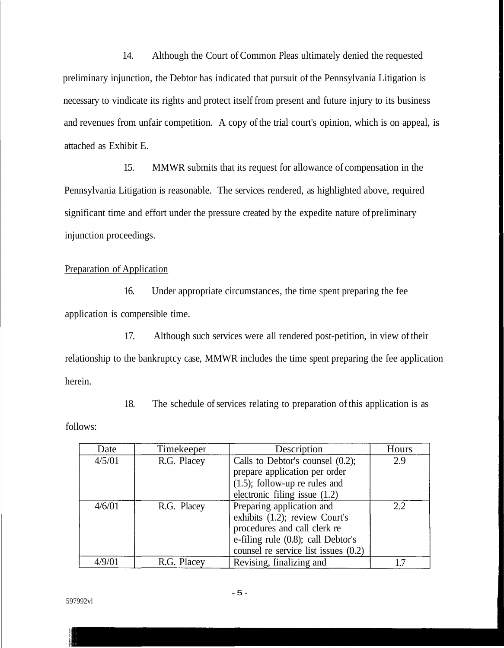14. Although the Court of Common Pleas ultimately denied the requested preliminary injunction, the Debtor has indicated that pursuit of the Pennsylvania Litigation is necessary to vindicate its rights and protect itself from present and future injury to its business and revenues from unfair competition. A copy of the trial court's opinion, which is on appeal, is attached as Exhibit E.

15. MMWR submits that its request for allowance of compensation in the Pennsylvania Litigation is reasonable. The services rendered, as highlighted above, required significant time and effort under the pressure created by the expedite nature of preliminary injunction proceedings.

Preparation of Application

16. Under appropriate circumstances, the time spent preparing the fee application is compensible time.

17. Although such services were all rendered post-petition, in view of their relationship to the bankruptcy case, MMWR includes the time spent preparing the fee application herein.

18. The schedule of services relating to preparation of this application is as

follows:

| Date   | Timekeeper  | Description                                                                                                                                                               | Hours |
|--------|-------------|---------------------------------------------------------------------------------------------------------------------------------------------------------------------------|-------|
| 4/5/01 | R.G. Placey | Calls to Debtor's counsel $(0.2)$ ;<br>prepare application per order<br>$(1.5)$ ; follow-up re rules and<br>electronic filing issue $(1.2)$                               | 2.9   |
| 4/6/01 | R.G. Placey | Preparing application and<br>exhibits (1.2); review Court's<br>procedures and call clerk re<br>e-filing rule (0.8); call Debtor's<br>counsel re service list issues (0.2) | 22    |
| 4/9/01 | R.G. Placey | Revising, finalizing and                                                                                                                                                  |       |

597992vl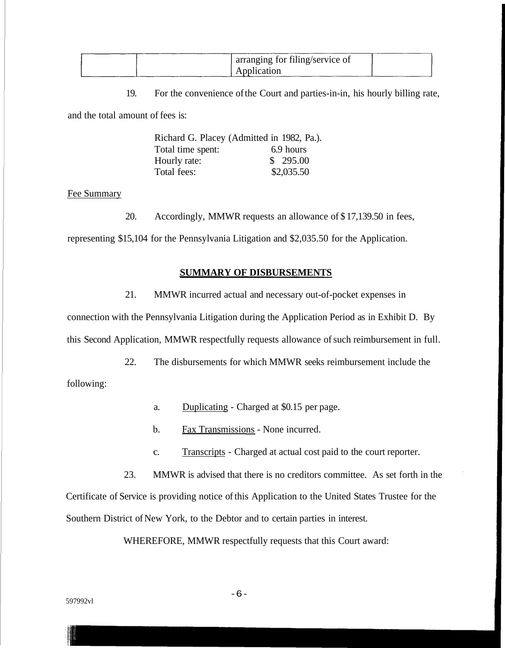| arranging for filing/service of |  |
|---------------------------------|--|
| Application                     |  |

19. For the convenience of the Court and parties-in-in, his hourly billing rate,

and the total amount of fees is:

|                   | Richard G. Placey (Admitted in 1982, Pa.). |
|-------------------|--------------------------------------------|
| Total time spent: | 6.9 hours                                  |
| Hourly rate:      | \$295.00                                   |
| Total fees:       | \$2,035.50                                 |

#### Fee Summary

20. Accordingly, MMWR requests an allowance of \$ 17,139.50 in fees,

representing \$15,104 for the Pennsylvania Litigation and \$2,035.50 for the Application.

#### **SUMMARY OF DISBURSEMENTS**

21. MMWR incurred actual and necessary out-of-pocket expenses in

connection with the Pennsylvania Litigation during the Application Period as in Exhibit D. By this Second Application, MMWR respectfully requests allowance of such reimbursement in full.

22. The disbursements for which MMWR seeks reimbursement include the following:

a. Duplicating - Charged at \$0.15 per page.

- b. Fax Transmissions None incurred.
- c. Transcripts Charged at actual cost paid to the court reporter.
- 23. MMWR is advised that there is no creditors committee. As set forth in the

Certificate of Service is providing notice of this Application to the United States Trustee for the Southern District of New York, to the Debtor and to certain parties in interest.

WHEREFORE, MMWR respectfully requests that this Court award: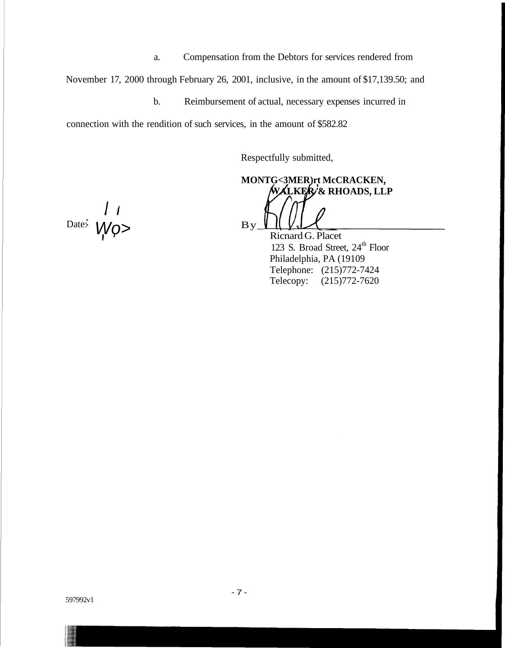a. Compensation from the Debtors for services rendered from

November 17, 2000 through February 26, 2001, inclusive, in the amount of \$17,139.50; and

b. Reimbursement of actual, necessary expenses incurred in

connection with the rendition of such services, in the amount of \$582.82

Respectfully submitted,

**MONTG<3MER)rt McCRACKEN, '& RHOADS, LLP**

Ricnard G. Placet 123 S. Broad Street, 24<sup>th</sup> Floor Philadelphia, PA (19109 Telephone: (215)772-7424 Telecopy: (215)772-7620

 $Date:$   $WQ>$   $By$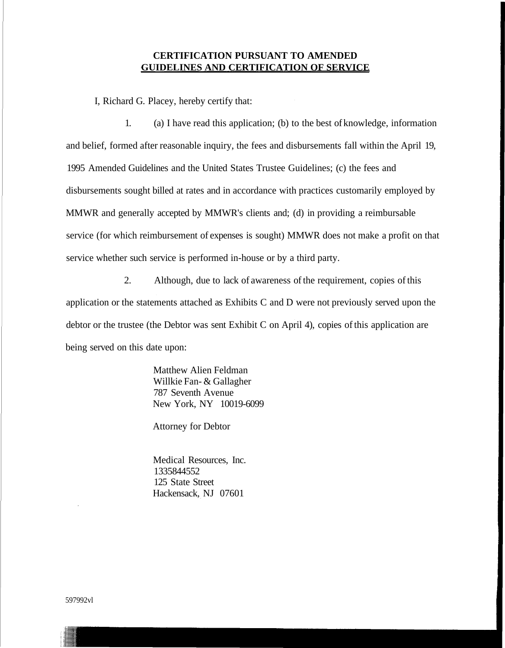## **CERTIFICATION PURSUANT TO AMENDED GUIDELINES AND CERTIFICATION OF SERVICE**

I, Richard G. Placey, hereby certify that:

1. (a) I have read this application; (b) to the best of knowledge, information and belief, formed after reasonable inquiry, the fees and disbursements fall within the April 19, 1995 Amended Guidelines and the United States Trustee Guidelines; (c) the fees and disbursements sought billed at rates and in accordance with practices customarily employed by MMWR and generally accepted by MMWR's clients and; (d) in providing a reimbursable service (for which reimbursement of expenses is sought) MMWR does not make a profit on that service whether such service is performed in-house or by a third party.

2. Although, due to lack of awareness of the requirement, copies of this application or the statements attached as Exhibits C and D were not previously served upon the debtor or the trustee (the Debtor was sent Exhibit C on April 4), copies of this application are being served on this date upon:

> Matthew Alien Feldman Willkie Fan- & Gallagher 787 Seventh Avenue New York, NY 10019-6099

Attorney for Debtor

Medical Resources, Inc. 1335844552 125 State Street Hackensack, NJ 07601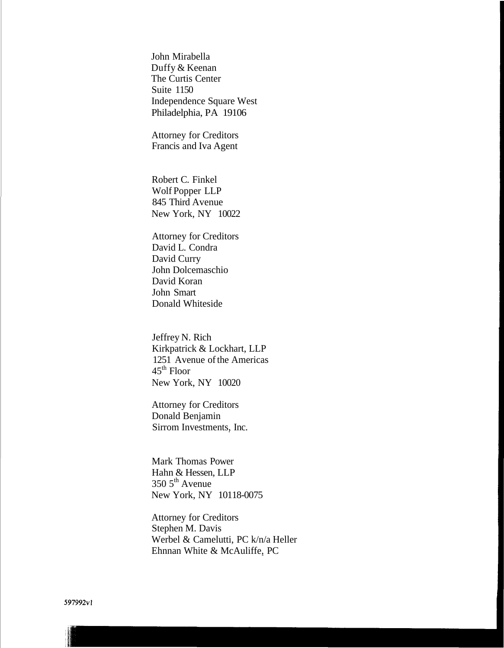John Mirabella Duffy & Keenan The Curtis Center Suite 1150 Independence Square West Philadelphia, PA 19106

Attorney for Creditors Francis and Iva Agent

Robert C. Finkel Wolf Popper LLP 845 Third Avenue New York, NY 10022

Attorney for Creditors David L. Condra David Curry John Dolcemaschio David Koran John Smart Donald Whiteside

Jeffrey N. Rich Kirkpatrick & Lockhart, LLP 1251 Avenue of the Americas  $45^{\text{th}}$  Floor New York, NY 10020

Attorney for Creditors Donald Benjamin Sirrom Investments, Inc.

Mark Thomas Power Hahn & Hessen, LLP  $350\,5^{\text{th}}$  Avenue New York, NY 10118-0075

Attorney for Creditors Stephen M. Davis Werbel & Camelutti, PC k/n/a Heller Ehnnan White & McAuliffe, PC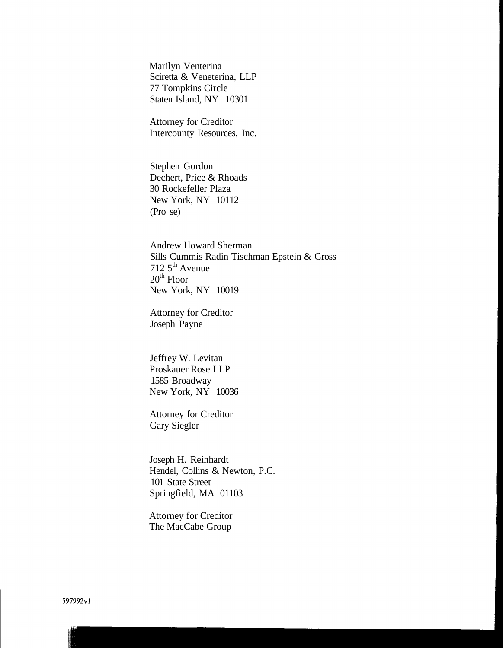Marilyn Venterina Sciretta & Veneterina, LLP 77 Tompkins Circle Staten Island, NY 10301

Attorney for Creditor Intercounty Resources, Inc.

Stephen Gordon Dechert, Price & Rhoads 30 Rockefeller Plaza New York, NY 10112 (Pro se)

Andrew Howard Sherman Sills Cummis Radin Tischman Epstein & Gross 712 5th Avenue  $20<sup>th</sup>$  Floor New York, NY 10019

Attorney for Creditor Joseph Payne

Jeffrey W. Levitan Proskauer Rose LLP 1585 Broadway New York, NY 10036

Attorney for Creditor Gary Siegler

Joseph H. Reinhardt Hendel, Collins & Newton, P.C. 101 State Street Springfield, MA 01103

Attorney for Creditor The MacCabe Group